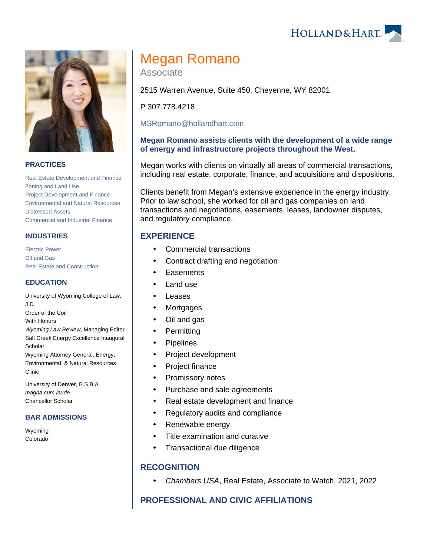**HOLLAND&HART** 



### **PRACTICES**

[Real Estate Development and Finance](https://www.hollandhart.com/19761) [Zoning and Land Use](https://www.hollandhart.com/19718) [Project Development and Finance](https://www.hollandhart.com/19763) [Environmental and Natural Resources](https://www.hollandhart.com/19667) [Distressed Assets](https://www.hollandhart.com/37278) [Commercial and Industrial Finance](https://www.hollandhart.com/19753)

### **INDUSTRIES**

[Electric Power](https://www.hollandhart.com/19737) [Oil and Gas](https://www.hollandhart.com/19705) [Real Estate and Construction](https://www.hollandhart.com/29065)

### **EDUCATION**

University of Wyoming College of Law, J.D. Order of the Coif With Honors Wyoming Law Review, Managing Editor Salt Creek Energy Excellence Inaugural **Scholar** Wyoming Attorney General, Energy, Environmental, & Natural Resources Clinic

University of Denver, B.S.B.A. magna cum laude Chancellor Scholar

#### **BAR ADMISSIONS**

Wyoming Colorado

# Megan Romano

Associate

2515 Warren Avenue, Suite 450, Cheyenne, WY 82001

P 307.778.4218

[MSRomano@hollandhart.com](mailto:MSRomano@hollandhart.com)

### **Megan Romano assists clients with the development of a wide range of energy and infrastructure projects throughout the West.**

Megan works with clients on virtually all areas of commercial transactions, including real estate, corporate, finance, and acquisitions and dispositions.

Clients benefit from Megan's extensive experience in the energy industry. Prior to law school, she worked for oil and gas companies on land transactions and negotiations, easements, leases, landowner disputes, and regulatory compliance.

## **EXPERIENCE**

- Commercial transactions
- Contract drafting and negotiation
- **Easements**
- Land use
- Leases
- Mortgages
- Oil and gas
- Permitting
- Pipelines
- Project development
- Project finance
- Promissory notes
- Purchase and sale agreements
- Real estate development and finance
- Regulatory audits and compliance
- Renewable energy
- Title examination and curative
- Transactional due diligence

## **RECOGNITION**

Chambers USA, Real Estate, Associate to Watch, 2021, 2022

## **PROFESSIONAL AND CIVIC AFFILIATIONS**